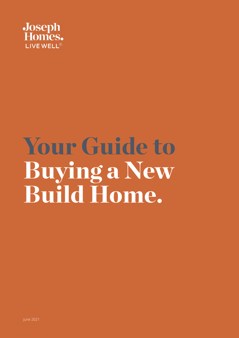

# Your Guide to Buying a New Build Home.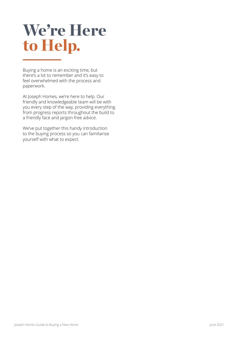## We're Here to Help.

Buying a home is an exciting time, but there's a lot to remember and it's easy to feel overwhelmed with the process and paperwork.

At Joseph Homes, we're here to help. Our friendly and knowledgeable team will be with you every step of the way, providing everything from progress reports throughout the build to a friendly face and jargon-free advice.

We've put together this handy introduction to the buying process so you can familiarise yourself with what to expect.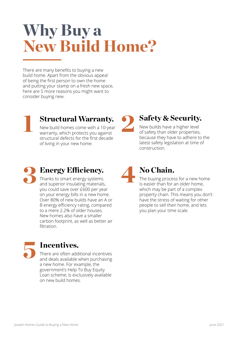## Why Buy a New Build Home?

There are many benefits to buying a new build home. Apart from the obvious appeal of being the first person to own the home and putting your stamp on a fresh new space, here are 5 more reasons you might want to consider buying new.

**Structural Warranty.** New build homes come with a 10-year warranty, which protects you against structural defects for the first decade of living in your new home.

**Safety & Security.** 

New builds have a higher level of safety than older properties, because they have to adhere to the latest safety legislation at time of construction.



you could save over £600 per year on your energy bills in a new home. Over 80% of new builds have an A or B energy efficiency rating, compared to a mere 2.2% of older houses. New homes also have a smaller carbon footprint, as well as better air filtration.



#### Incentives.

There are often additional incentives and deals available when purchasing a new home. For example, the government's Help To Buy Equity Loan scheme, is exclusively available on new build homes.

No Chain. 4

The buying process for a new home is easier than for an older home, which may be part of a complex property chain. This means you don't have the stress of waiting for other people to sell their home, and lets you plan your time scale.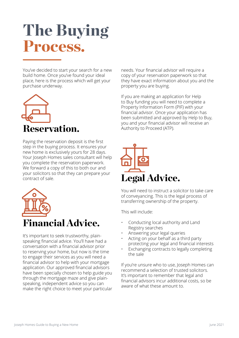## The Buying Process.

You've decided to start your search for a new build home. Once you've found your ideal place, here is the process which will get your purchase underway.



Paying the reservation deposit is the first step in the buying process. It ensures your new home is exclusively yours for 28 days. Your Joseph Homes sales consultant will help you complete the reservation paperwork. We forward a copy of this to both our and your solicitors so that they can prepare your contract of sale.



It's important to seek trustworthy, plainspeaking financial advice. You'll have had a conversation with a financial advisor prior to reserving your home, but now is the time to engage their services as you will need a financial advisor to help with your mortgage application. Our approved financial advisors have been specially chosen to help guide you through the mortgage maze and give plainspeaking, independent advice so you can make the right choice to meet your particular needs. Your financial advisor will require a copy of your reservation paperwork so that they have exact information about you and the property you are buying.

If you are making an application for Help to Buy funding you will need to complete a Property Information Form (PIF) with your financial advisor. Once your application has been submitted and approved by Help to Buy, you and your financial advisor will receive an Authority to Proceed (ATP).



You will need to instruct a solicitor to take care of conveyancing. This is the legal process of transferring ownership of the property.

This will include:

- Conducting local authority and Land Registry searches
- Answering your legal queries
- Acting on your behalf as a third party protecting your legal and financial interests
- Exchanging contracts to legally completing the sale

If you're unsure who to use, Joseph Homes can recommend a selection of trusted solicitors. It's important to remember that legal and financial advisors incur additional costs, so be aware of what these amount to.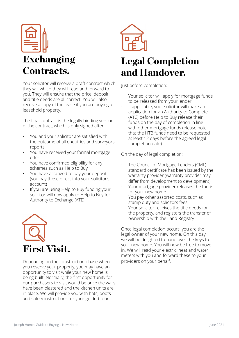

### Exchanging Contracts.

Your solicitor will receive a draft contract which they will which they will read and forward to you. They will ensure that the price, deposit and title deeds are all correct. You will also receive a copy of the lease if you are buying a leasehold property.

The final contract is the legally binding version of the contract, which is only signed after:

- You and your solicitor are satisfied with the outcome of all enquiries and surveyors reports
- You have received your formal mortgage offer
- You have confirmed eligibility for any schemes such as Help to Buy
- You have arranged to pay your deposit (you pay these direct into your solicitor's account)
- If you are using Help to Buy funding your solicitor will now apply to Help to Buy for Authority to Exchange (ATE)



Depending on the construction phase when you reserve your property, you may have an opportunity to visit while your new home is being built. Normally, the first opportunity for our purchasers to visit would be once the walls have been plastered and the kitchen units are in place. We will provide you with hats, boots and safety instructions for your guided tour.



### Legal Completion and Handover.

Just before completion:

- Your solicitor will apply for mortgage funds to be released from your lender
- If applicable, your solicitor will make an application for an Authority to Complete (ATC) before Help to Buy release their funds on the day of completion in line with other mortgage funds (please note that the HTB funds need to be requested at least 12 days before the agreed legal completion date).

On the day of legal completion:

- The Council of Mortgage Lenders (CML) standard certificate has been issued by the warranty provider (warranty provider may differ from development to development)
- Your mortgage provider releases the funds for your new home
- You pay other assorted costs, such as stamp duty and solicitors fees
- Your solicitor receives the title deeds for the property, and registers the transfer of ownership with the Land Registry

Once legal completion occurs, you are the legal owner of your new home. On this day we will be delighted to hand over the keys to your new home. You will now be free to move in. We will read your electric, heat and water meters with you and forward these to your providers on your behalf.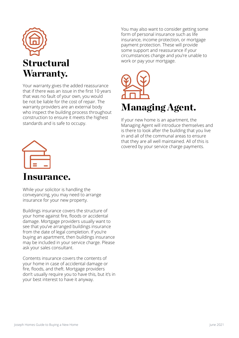

Your warranty gives the added reassurance that if there was an issue in the first 10 years that was no fault of your own, you would be not be liable for the cost of repair. The warranty providers are an external body who inspect the building process throughout construction to ensure it meets the highest standards and is safe to occupy.

You may also want to consider getting some form of personal insurance such as life insurance, income protection, or mortgage payment protection. These will provide some support and reassurance if your circumstances change and you're unable to work or pay your mortgage.



If your new home is an apartment, the Managing Agent will introduce themselves and is there to look after the building that you live in and all of the communal areas to ensure that they are all well maintained. All of this is covered by your service charge payments.



#### Insurance.

While your solicitor is handling the conveyancing, you may need to arrange insurance for your new property.

Buildings insurance covers the structure of your home against fire, floods or accidental damage. Mortgage providers usually want to see that you've arranged buildings insurance from the date of legal completion. If you're buying an apartment, then buildings insurance may be included in your service charge. Please ask your sales consultant.

Contents insurance covers the contents of your home in case of accidental damage or fire, floods, and theft. Mortgage providers don't usually require you to have this, but it's in your best interest to have it anyway.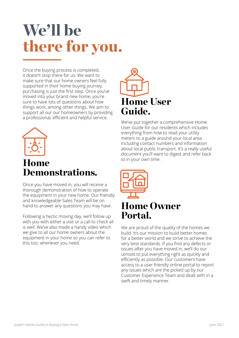## We'll be there for you.

Once the buying process is completed, it doesn't stop there for us. We want to make sure that our home owners feel fully supported in their home buying journey, purchasing is just the first step. Once you've moved into your brand new home, you're sure to have lots of questions about how things work, among other things. We aim to support all our our homeowners by providing a professional, efficient and helpful service.



### Home Demonstrations.

Once you have moved in, you will receive a thorough demonstration of how to operate the equipment in your new home. Our friendly and knowledgeable Sales Team will be on hand to answer any questions you may have.

Following a hectic moving day, we'll follow up with you with either a visit or a call to check all is well. We've also made a handy video which we give to all our home owners about the equipment in your home so you can refer to this too, whenever you need.



We've put together a comprehensive Home User Guide for our residents which includes everything from how to read your utility meters to a guide around your local area including contact numbers and information about local public transport. It's a really useful document you'll want to digest and refer back to in your own time.



#### Home Owner Portal.

We are proud of the quality of the homes we build. It's our mission to build better homes for a better world and we strive to achieve the very best standards. If you find any defects or issues after you have moved in, we'll do our utmost to put everything right as quickly and efficiently as possible. Our customers have access to a user friendly online portal to report any issues which are the picked up by our Customer Experience Team and dealt with in a swift and timely manner.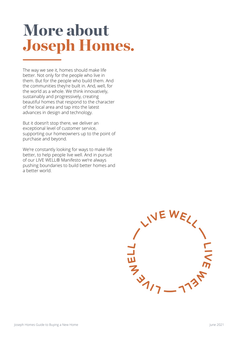## More about Joseph Homes.

The way we see it, homes should make life better. Not only for the people who live in them. But for the people who build them. And the communities they're built in. And, well, for the world as a whole. We think innovatively, sustainably and progressively, creating beautiful homes that respond to the character of the local area and tap into the latest advances in design and technology.

But it doesn't stop there, we deliver an exceptional level of customer service, supporting our homeowners up to the point of purchase and beyond.

We're constantly looking for ways to make life better, to help people live well. And in pursuit of our LIVE WELL® Manifesto we're always pushing boundaries to build better homes and a better world.

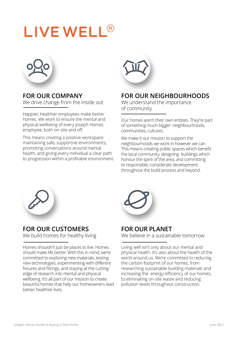## LIVE WELL<sup>®</sup>



**FOR OUR COMPANY** We drive change from the inside out

Happier, healthier employees make better homes. We work to ensure the mental and physical wellbeing of every Joseph Homes employee, both on-site and off.

This means creating a positive workspace: maintaining safe, supportive environments, promoting conversations around mental health, and giving every individual a clear path to progression within a profitable environment.



#### **FOR OUR NEIGHBOURHOODS**

We understand the importance of community

Our homes aren't their own entities. They're part of something much bigger: neighbourhoods, communities, cultures.

We make it our mission to support the neighbourhoods we work in however we can. This means creating public spaces which benefit the local community, designing buildings which honour the spirit of the area, and committing to responsible, considerate development throughout the build process and beyond.



#### **FOR OUR CUSTOMERS**

We build homes for healthy living

Homes shouldn't just be places to live. Homes should make life better. With this in mind, we're committed to exploring new materials, testing new technologies, experimenting with different fixtures and fittings, and staying at the cuttingedge of research into mental and physical wellbeing. It's all part of our mission to create beautiful homes that help our homeowners lead better, healthier lives.



#### **FOR OUR PLANET**

We believe in a sustainable tomorrow

Living well isn't only about our mental and physical health. It's also about the health of the world around us. We're committed to reducing the carbon footprint of our homes, from researching sustainable building materials and increasing the energy efficiency of our homes, to eliminating on-site waste and reducing pollution levels throughout construction.